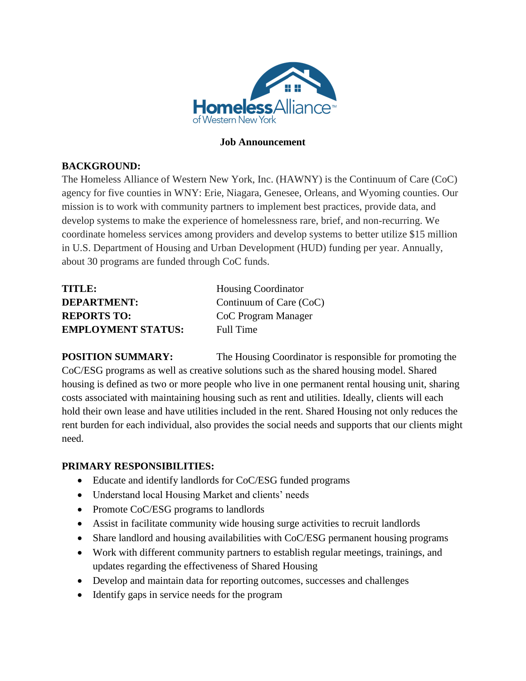

#### **Job Announcement**

## **BACKGROUND:**

The Homeless Alliance of Western New York, Inc. (HAWNY) is the Continuum of Care (CoC) agency for five counties in WNY: Erie, Niagara, Genesee, Orleans, and Wyoming counties. Our mission is to work with community partners to implement best practices, provide data, and develop systems to make the experience of homelessness rare, brief, and non-recurring. We coordinate homeless services among providers and develop systems to better utilize \$15 million in U.S. Department of Housing and Urban Development (HUD) funding per year. Annually, about 30 programs are funded through CoC funds.

| TITLE:                    | <b>Housing Coordinator</b> |
|---------------------------|----------------------------|
| <b>DEPARTMENT:</b>        | Continuum of Care (CoC)    |
| <b>REPORTS TO:</b>        | CoC Program Manager        |
| <b>EMPLOYMENT STATUS:</b> | Full Time                  |

**POSITION SUMMARY:** The Housing Coordinator is responsible for promoting the CoC/ESG programs as well as creative solutions such as the shared housing model. Shared housing is defined as two or more people who live in one permanent rental housing unit, sharing costs associated with maintaining housing such as rent and utilities. Ideally, clients will each hold their own lease and have utilities included in the rent. Shared Housing not only reduces the rent burden for each individual, also provides the social needs and supports that our clients might need.

### **PRIMARY RESPONSIBILITIES:**

- Educate and identify landlords for CoC/ESG funded programs
- Understand local Housing Market and clients' needs
- Promote CoC/ESG programs to landlords
- Assist in facilitate community wide housing surge activities to recruit landlords
- Share landlord and housing availabilities with CoC/ESG permanent housing programs
- Work with different community partners to establish regular meetings, trainings, and updates regarding the effectiveness of Shared Housing
- Develop and maintain data for reporting outcomes, successes and challenges
- Identify gaps in service needs for the program